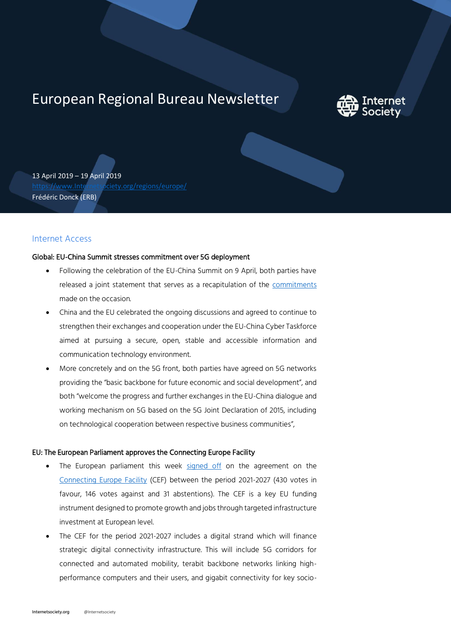# European Regional Bureau Newsletter



13 April 2019 – 19 April 2019 [https://www.Internetsociety.org/regions/europe/](https://www.internetsociety.org/regions/europe/) Frédéric Donck (ERB)

# Internet Access

## Global: EU-China Summit stresses commitment over 5G deployment

- Following the celebration of the EU-China Summit on 9 April, both parties have released a joint statement that serves as a recapitulation of the [commitments](https://www.consilium.europa.eu/media/39020/euchina-joint-statement-9april2019.pdf?utm_source=dsms-auto&utm_medium=email&utm_campaign=Joint+statement+of+the+21st+EU-China+summit&utm) made on the occasion.
- China and the EU celebrated the ongoing discussions and agreed to continue to strengthen their exchanges and cooperation under the EU-China Cyber Taskforce aimed at pursuing a secure, open, stable and accessible information and communication technology environment.
- More concretely and on the 5G front, both parties have agreed on 5G networks providing the "basic backbone for future economic and social development", and both "welcome the progress and further exchanges in the EU-China dialogue and working mechanism on 5G based on the 5G Joint Declaration of 2015, including on technological cooperation between respective business communities",

#### EU: The European Parliament approves the Connecting Europe Facility

- The European parliament this week [signed off](http://europa.eu/rapid/press-release_MEMO-19-2179_en.htm) on the agreement on the [Connecting Europe Facility](https://ec.europa.eu/digital-single-market/en/connecting-europe-facility) (CEF) between the period 2021-2027 (430 votes in favour, 146 votes against and 31 abstentions). The CEF is a key EU funding instrument designed to promote growth and jobs through targeted infrastructure investment at European level.
- The CEF for the period 2021-2027 includes a digital strand which will finance strategic digital connectivity infrastructure. This will include 5G corridors for connected and automated mobility, terabit backbone networks linking highperformance computers and their users, and gigabit connectivity for key socio-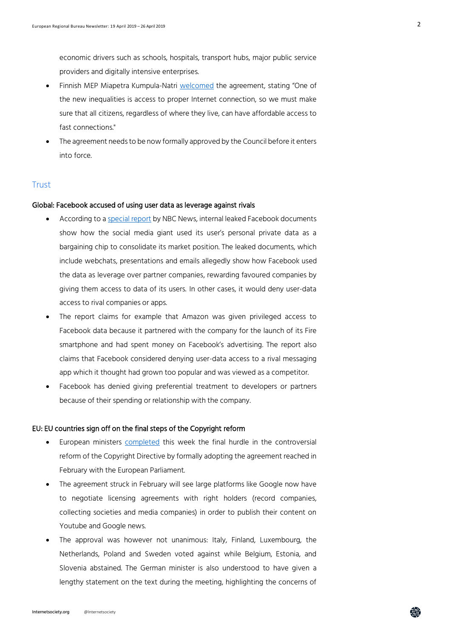$\mathcal{L}$ 

economic drivers such as schools, hospitals, transport hubs, major public service providers and digitally intensive enterprises.

- Finnish MEP Miapetra Kumpula-Natri [welcomed](https://www.socialistsanddemocrats.eu/newsroom/connecting-europe-better-infrastructure-will-strengthen-cohesion-sustainability-and) the agreement, stating "One of the new inequalities is access to proper Internet connection, so we must make sure that all citizens, regardless of where they live, can have affordable access to fast connections."
- The agreement needs to be now formally approved by the Council before it enters into force.

## **Trust**

## Global: Facebook accused of using user data as leverage against rivals

- According to [a special report](https://www.nbcnews.com/tech/social-media/mark-zuckerberg-leveraged-facebook-user-data-fight-rivals-help-friends-n994706?) by NBC News, internal leaked Facebook documents show how the social media giant used its user's personal private data as a bargaining chip to consolidate its market position. The leaked documents, which include webchats, presentations and emails allegedly show how Facebook used the data as leverage over partner companies, rewarding favoured companies by giving them access to data of its users. In other cases, it would deny user-data access to rival companies or apps.
- The report claims for example that Amazon was given privileged access to Facebook data because it partnered with the company for the launch of its Fire smartphone and had spent money on Facebook's advertising. The report also claims that Facebook considered denying user-data access to a rival messaging app which it thought had grown too popular and was viewed as a competitor.
- Facebook has denied giving preferential treatment to developers or partners because of their spending or relationship with the company.

#### EU: EU countries sign off on the final steps of the Copyright reform

- European ministers [completed](https://www.consilium.europa.eu/en/press/press-releases/2019/04/15/eu-adjusts-copyright-rules-to-the-digital-age/) this week the final hurdle in the controversial reform of the Copyright Directive by formally adopting the agreement reached in February with the European Parliament.
- The agreement struck in February will see large platforms like Google now have to negotiate licensing agreements with right holders (record companies, collecting societies and media companies) in order to publish their content on Youtube and Google news.
- The approval was however not unanimous: Italy, Finland, Luxembourg, the Netherlands, Poland and Sweden voted against while Belgium, Estonia, and Slovenia abstained. The German minister is also understood to have given a lengthy statement on the text during the meeting, highlighting the concerns of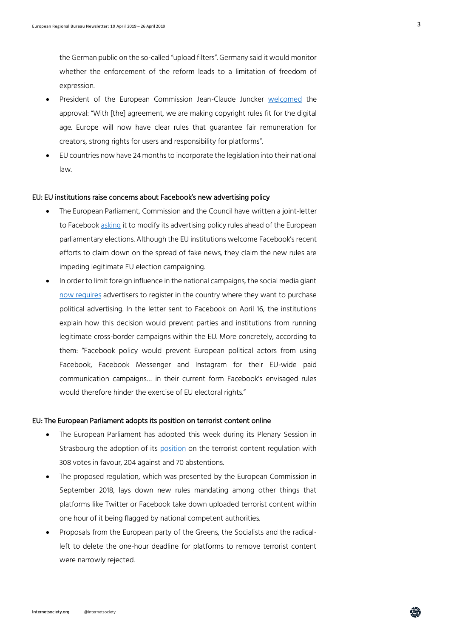the German public on the so-called "upload filters". Germany said it would monitor whether the enforcement of the reform leads to a limitation of freedom of expression.

- President of the European Commission Jean-Claude Juncker [welcomed](http://europa.eu/rapid/press-release_IP-19-2151_en.htm) the approval: "With [the] agreement, we are making copyright rules fit for the digital age. Europe will now have clear rules that guarantee fair remuneration for creators, strong rights for users and responsibility for platforms".
- EU countries now have 24 months to incorporate the legislation into their national law.

#### EU: EU institutions raise concerns about Facebook's new advertising policy

- The European Parliament, Commission and the Council have written a joint-letter to Facebook [asking](https://g8fip1kplyr33r3krz5b97d1-wpengine.netdna-ssl.com/wp-content/uploads/2019/04/Letter-to-Clegg-from-EU-institutions.pdf) it to modify its advertising policy rules ahead of the European parliamentary elections. Although the EU institutions welcome Facebook's recent efforts to claim down on the spread of fake news, they claim the new rules are impeding legitimate EU election campaigning.
- In order to limit foreign influence in the national campaigns, the social media giant [now requires](https://www.facebook.com/business/help/208949576550051?helpref=faq_content&utm) advertisers to register in the country where they want to purchase political advertising. In the letter sent to Facebook on April 16, the institutions explain how this decision would prevent parties and institutions from running legitimate cross-border campaigns within the EU. More concretely, according to them: "Facebook policy would prevent European political actors from using Facebook, Facebook Messenger and Instagram for their EU-wide paid communication campaigns… in their current form Facebook's envisaged rules would therefore hinder the exercise of EU electoral rights."

#### EU: The European Parliament adopts its position on terrorist content online

- The European Parliament has adopted this week during its Plenary Session in Strasbourg the adoption of its [position](http://www.europarl.europa.eu/news/en/press-room/20190410IPR37571/terrorist-content-online-should-be-removed-within-one-hour-says-ep) on the terrorist content regulation with 308 votes in favour, 204 against and 70 abstentions.
- The proposed regulation, which was presented by the European Commission in September 2018, lays down new rules mandating among other things that platforms like Twitter or Facebook take down uploaded terrorist content within one hour of it being flagged by national competent authorities.
- Proposals from the European party of the Greens, the Socialists and the radicalleft to delete the one-hour deadline for platforms to remove terrorist content were narrowly rejected.